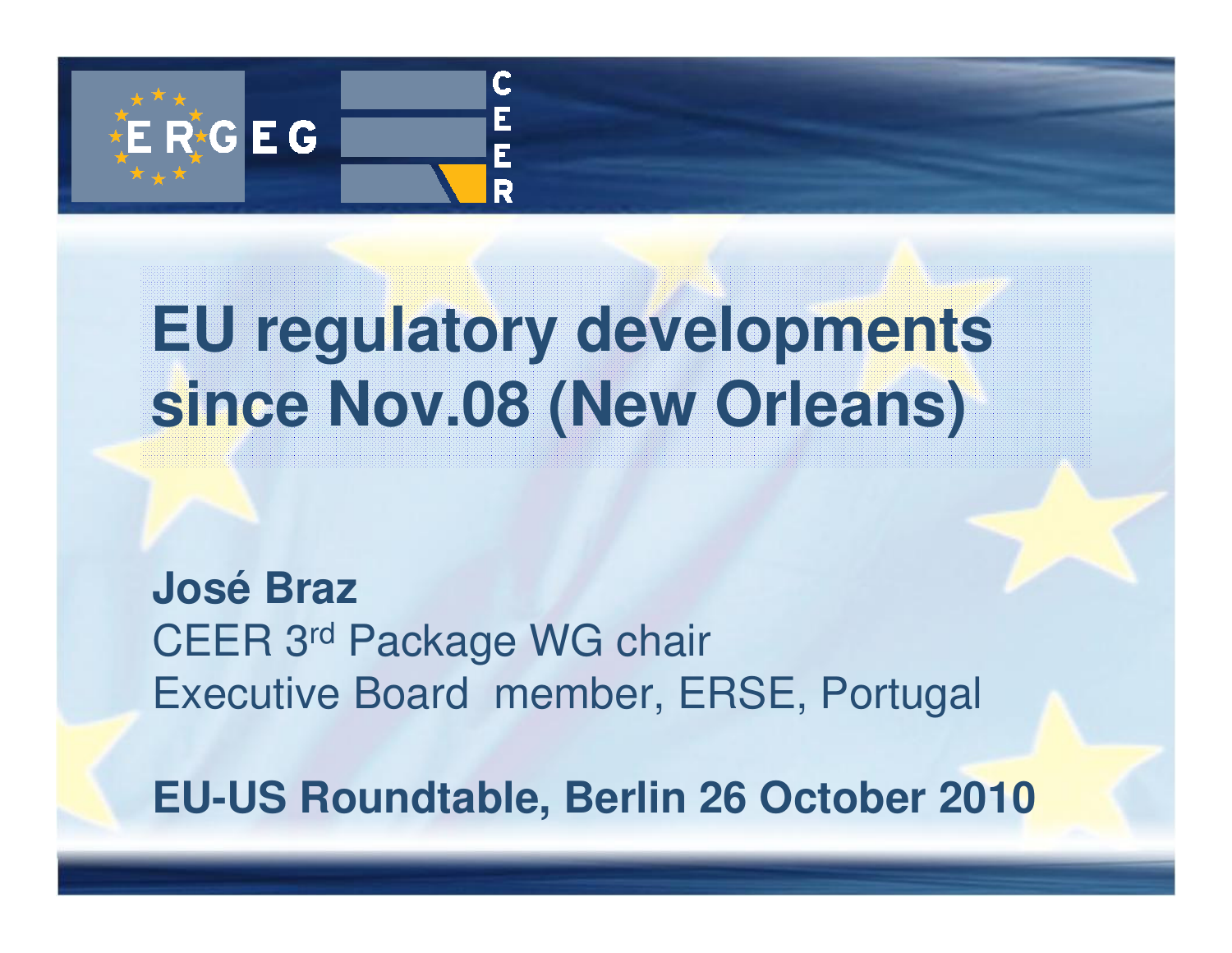

# **EU regulatory developments since Nov.08 (New Orleans)**

**José Braz** CEER 3rd Package WG chair Executive Board member, ERSE, Portugal

**EU-US Roundtable, Berlin 26 October 2010**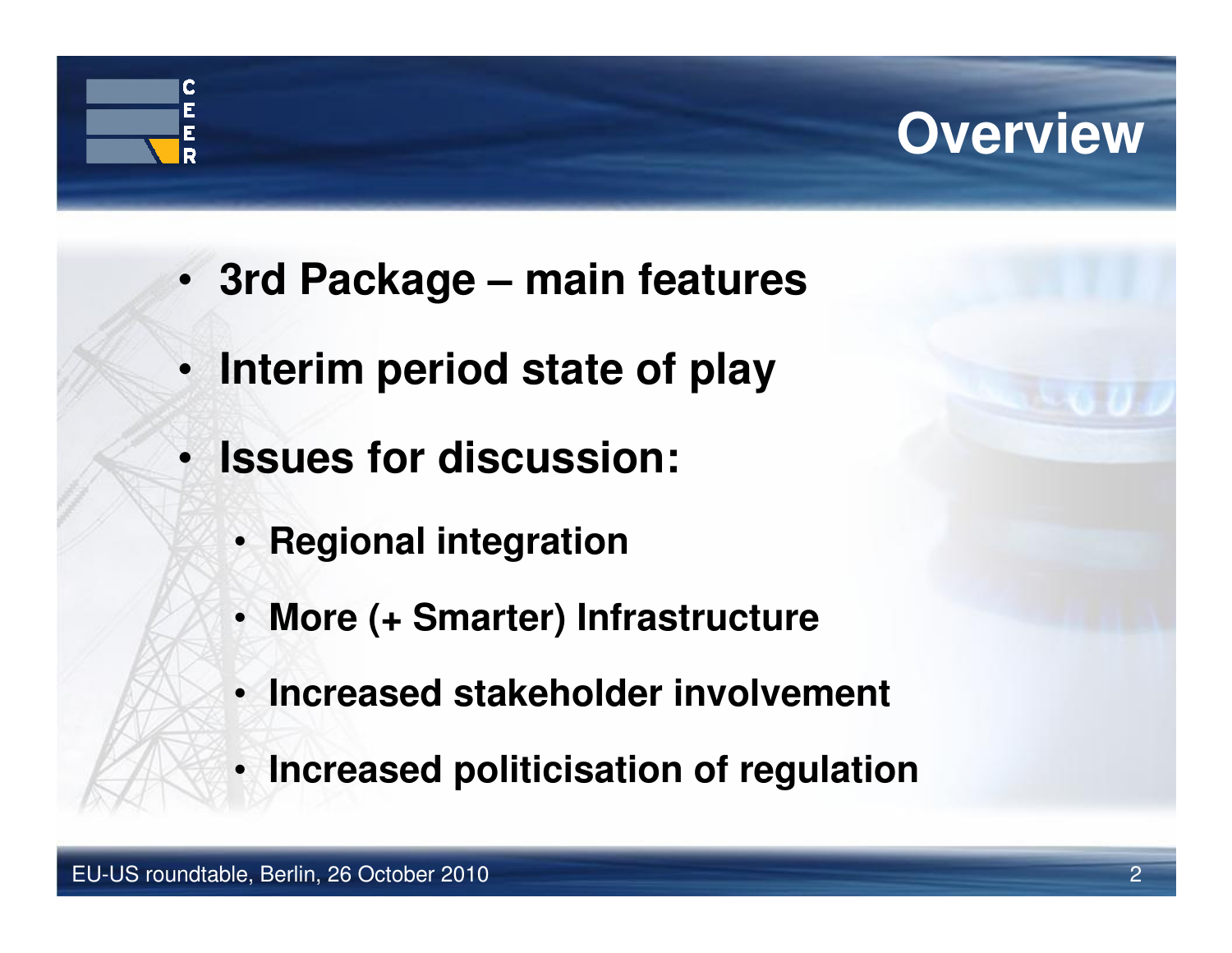

- **3rd Package – main features**
- **Interim period state of play**
- **Issues for discussion:**
	- **Regional integration**
	- **More (+ Smarter) Infrastructure**
	- **Increased stakeholder involvement**
	- **Increased politicisation of regulation**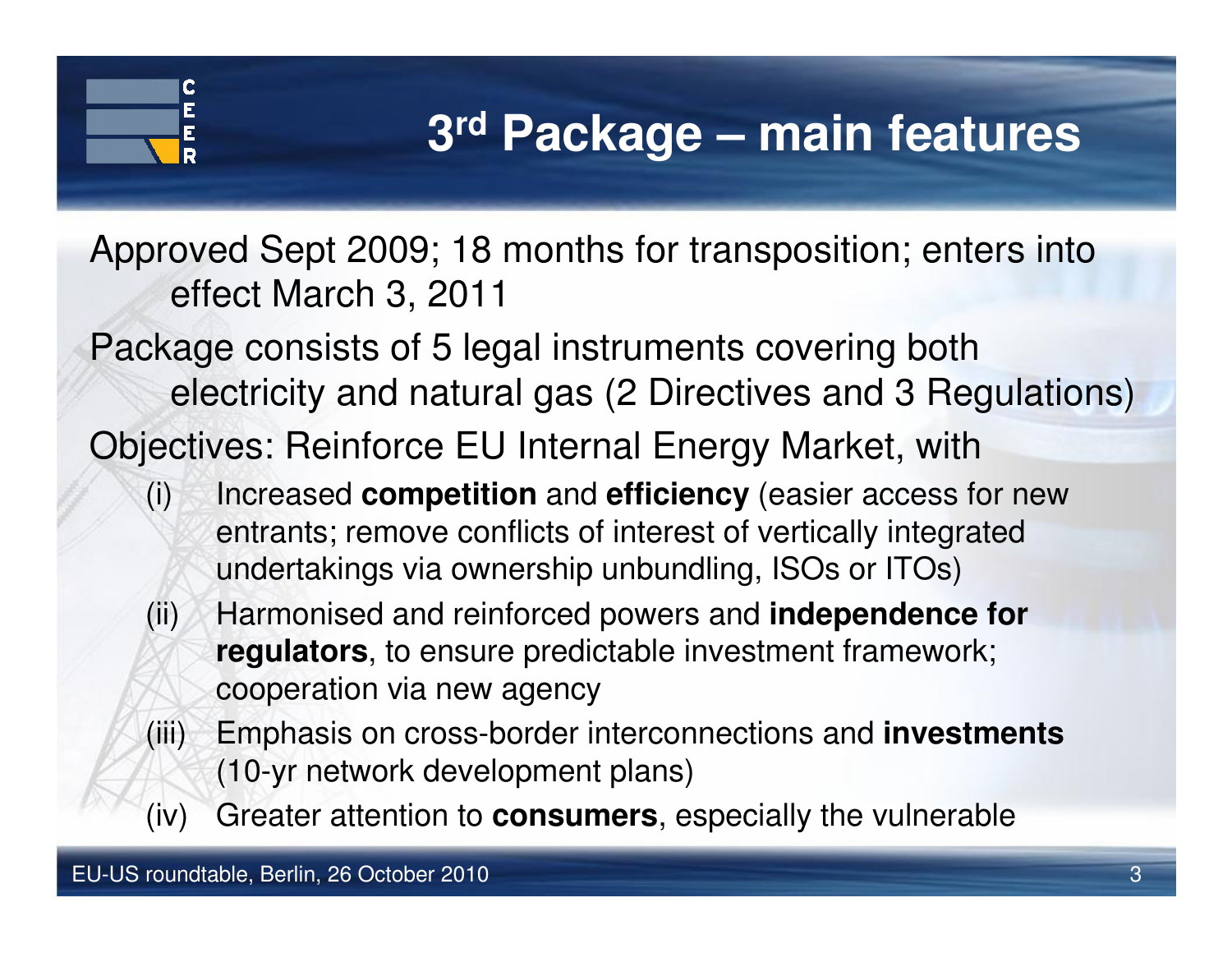### **3rd Package – main features**

Approved Sept 2009; 18 months for transposition; enters into effect March 3, 2011

Package consists of 5 legal instruments covering both electricity and natural gas (2 Directives and 3 Regulations)

Objectives: Reinforce EU Internal Energy Market, with

- (i) Increased **competition** and **efficiency** (easier access for new entrants; remove conflicts of interest of vertically integrated undertakings via ownership unbundling, ISOs or ITOs)
- (ii) Harmonised and reinforced powers and **independence for regulators**, to ensure predictable investment framework; cooperation via new agency
- (iii) Emphasis on cross-border interconnections and **investments**(10-yr network development plans)
- (iv) Greater attention to **consumers**, especially the vulnerable

C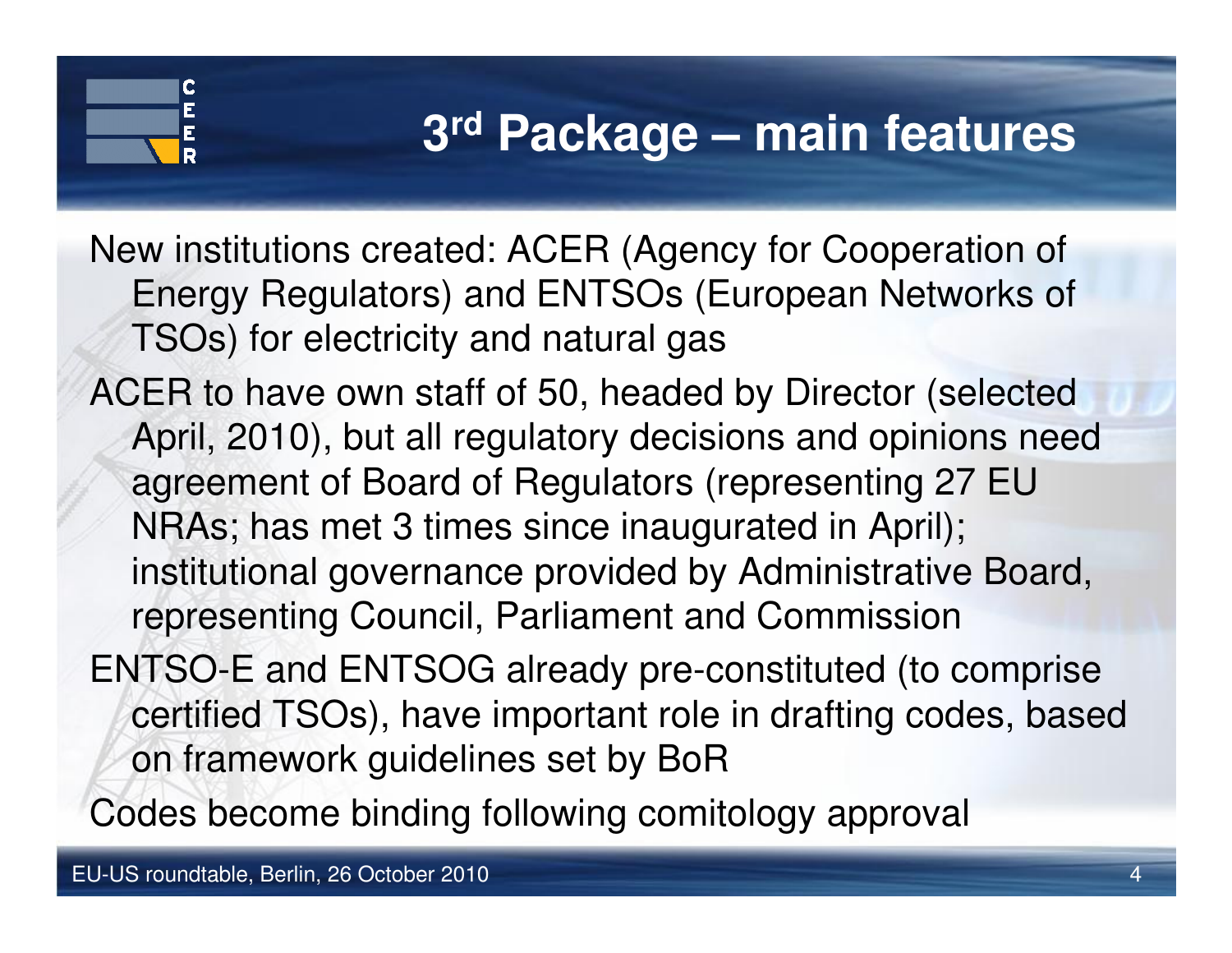#### **3rd Package – main features**

New institutions created: ACER (Agency for Cooperation of Energy Regulators) and ENTSOs (European Networks ofTSOs) for electricity and natural gas

ACER to have own staff of 50, headed by Director (selected April, 2010), but all regulatory decisions and opinions need agreement of Board of Regulators (representing 27 EU NRAs; has met 3 times since inaugurated in April); institutional governance provided by Administrative Board, representing Council, Parliament and Commission

ENTSO-E and ENTSOG already pre-constituted (to comprise certified TSOs), have important role in drafting codes, based on framework guidelines set by BoR

Codes become binding following comitology approval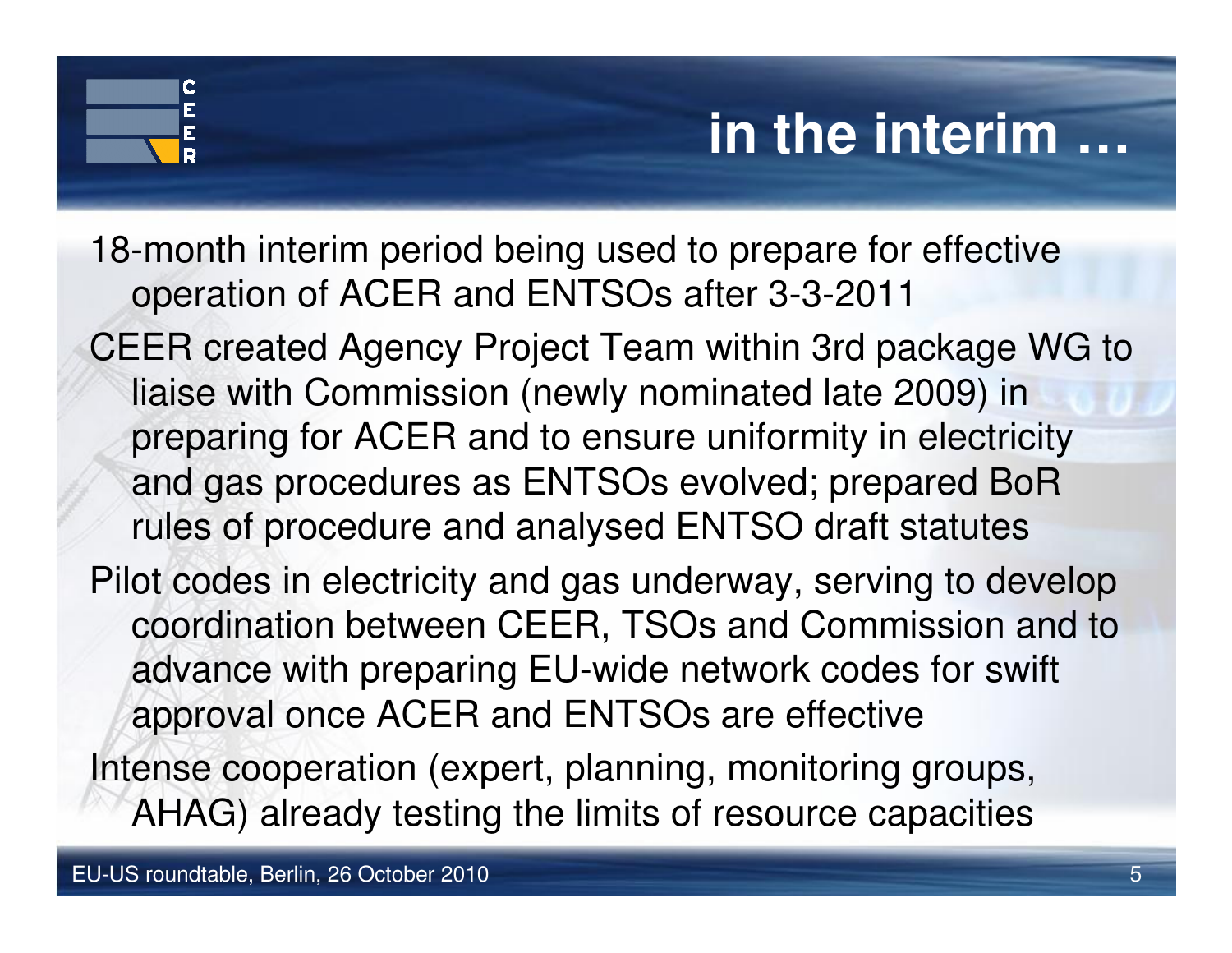## **in the interim …**

- 18-month interim period being used to prepare for effective operation of ACER and ENTSOs after 3-3-2011
- CEER created Agency Project Team within 3rd package WG to liaise with Commission (newly nominated late 2009) in preparing for ACER and to ensure uniformity in electricity and gas procedures as ENTSOs evolved; prepared BoR rules of procedure and analysed ENTSO draft statutes
- Pilot codes in electricity and gas underway, serving to develop coordination between CEER, TSOs and Commission and to advance with preparing EU-wide network codes for swift approval once ACER and ENTSOs are effective
- Intense cooperation (expert, planning, monitoring groups, AHAG) already testing the limits of resource capacities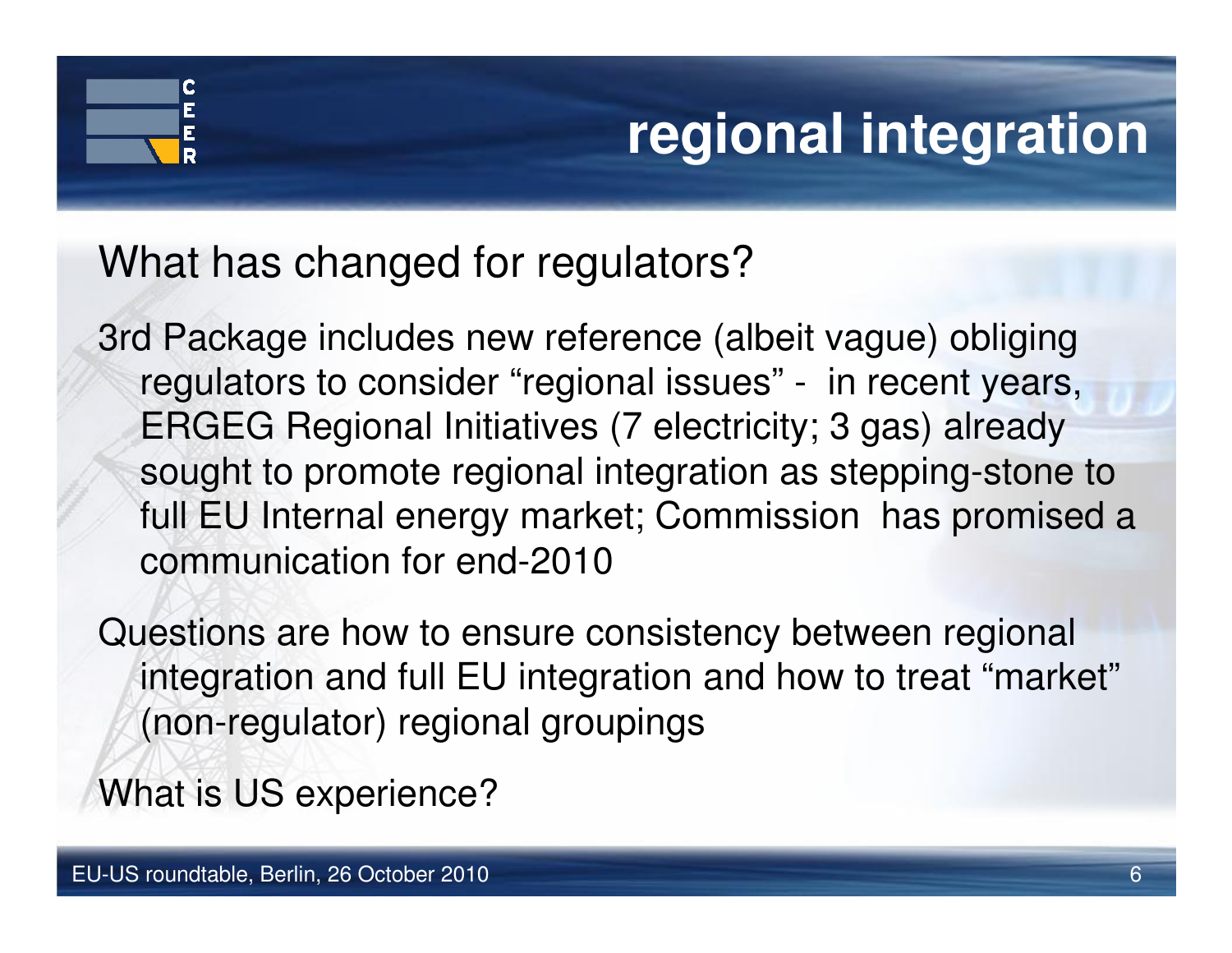## **regional integration**

#### What has changed for regulators?

3rd Package includes new reference (albeit vague) obliging regulators to consider "regional issues" - in recent years, ERGEG Regional Initiatives (7 electricity; 3 gas) already sought to promote regional integration as stepping-stone to full EU Internal energy market; Commission has promised a communication for end-2010

Questions are how to ensure consistency between regional integration and full EU integration and how to treat "market"(non-regulator) regional groupings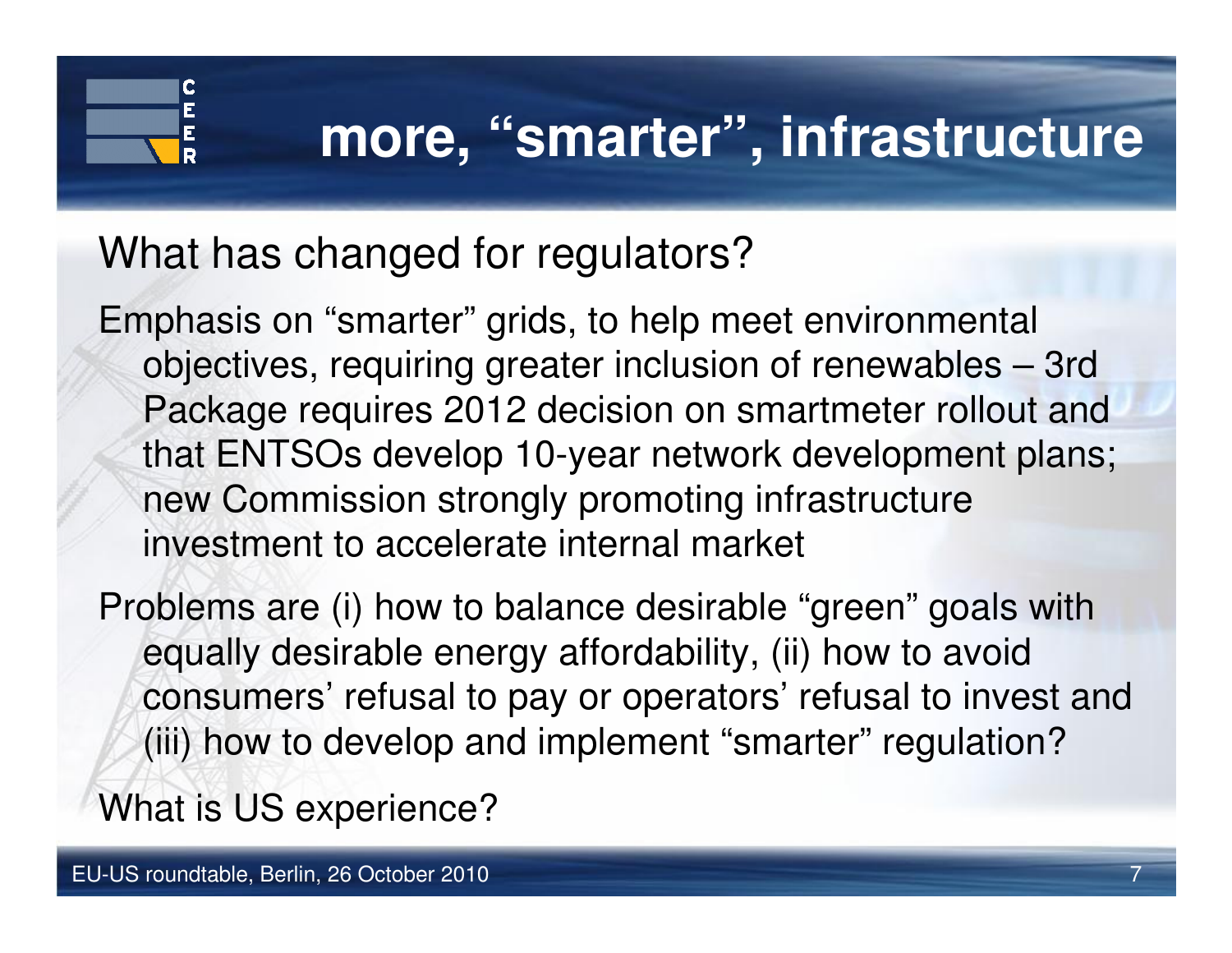## **more, "smarter", infrastructure**

#### What has changed for regulators?

Emphasis on "smarter" grids, to help meet environmental objectives, requiring greater inclusion of renewables – 3rd Package requires 2012 decision on smartmeter rollout and that ENTSOs develop 10-year network development plans; new Commission strongly promoting infrastructure investment to accelerate internal market

Problems are (i) how to balance desirable "green" goals with equally desirable energy affordability, (ii) how to avoid consumers' refusal to pay or operators' refusal to invest and (iii) how to develop and implement "smarter" regulation?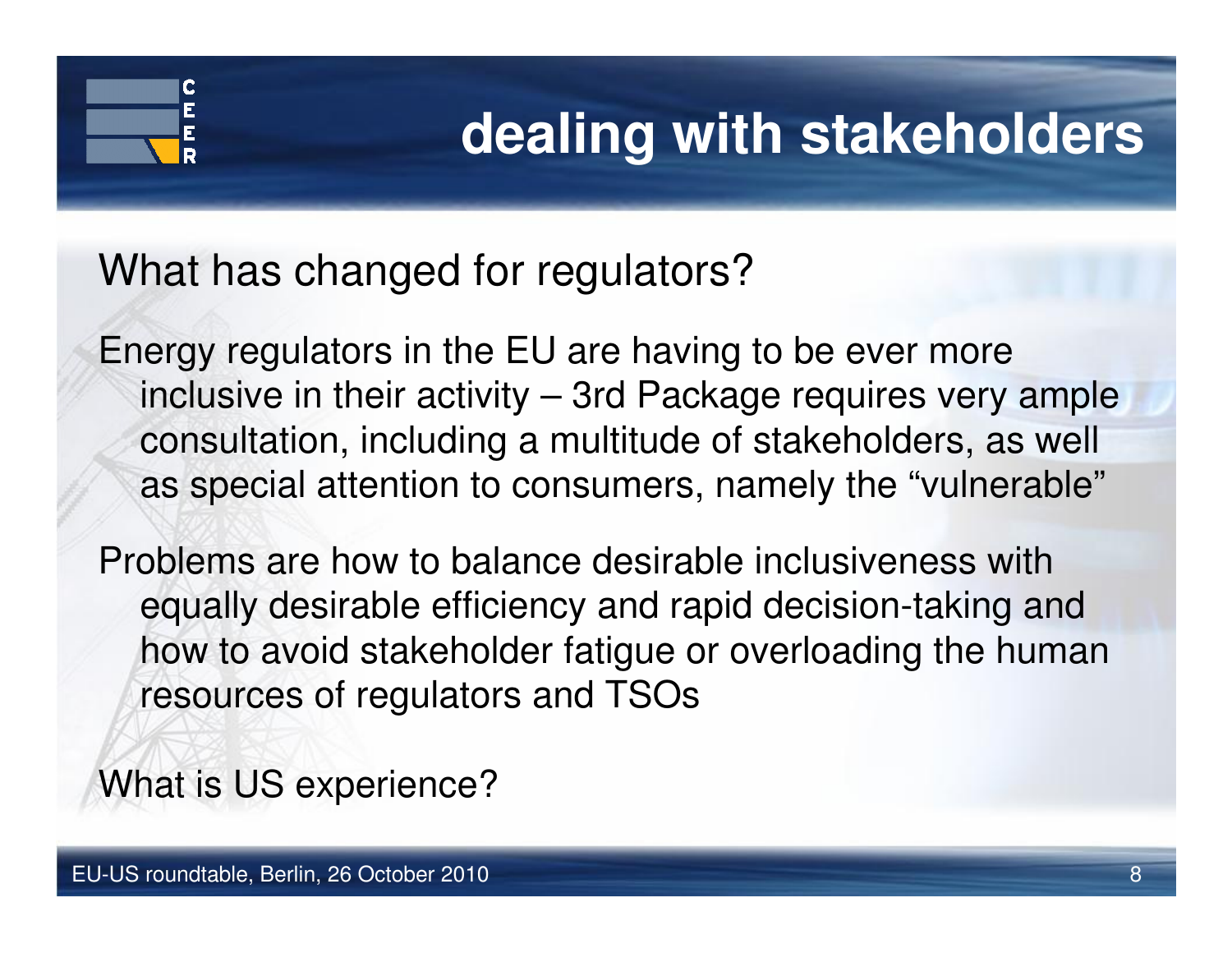# **dealing with stakeholders**

What has changed for regulators?

Energy regulators in the EU are having to be ever more inclusive in their activity – 3rd Package requires very ample consultation, including a multitude of stakeholders, as well as special attention to consumers, namely the "vulnerable"

Problems are how to balance desirable inclusiveness with equally desirable efficiency and rapid decision-taking and how to avoid stakeholder fatigue or overloading the human resources of regulators and TSOs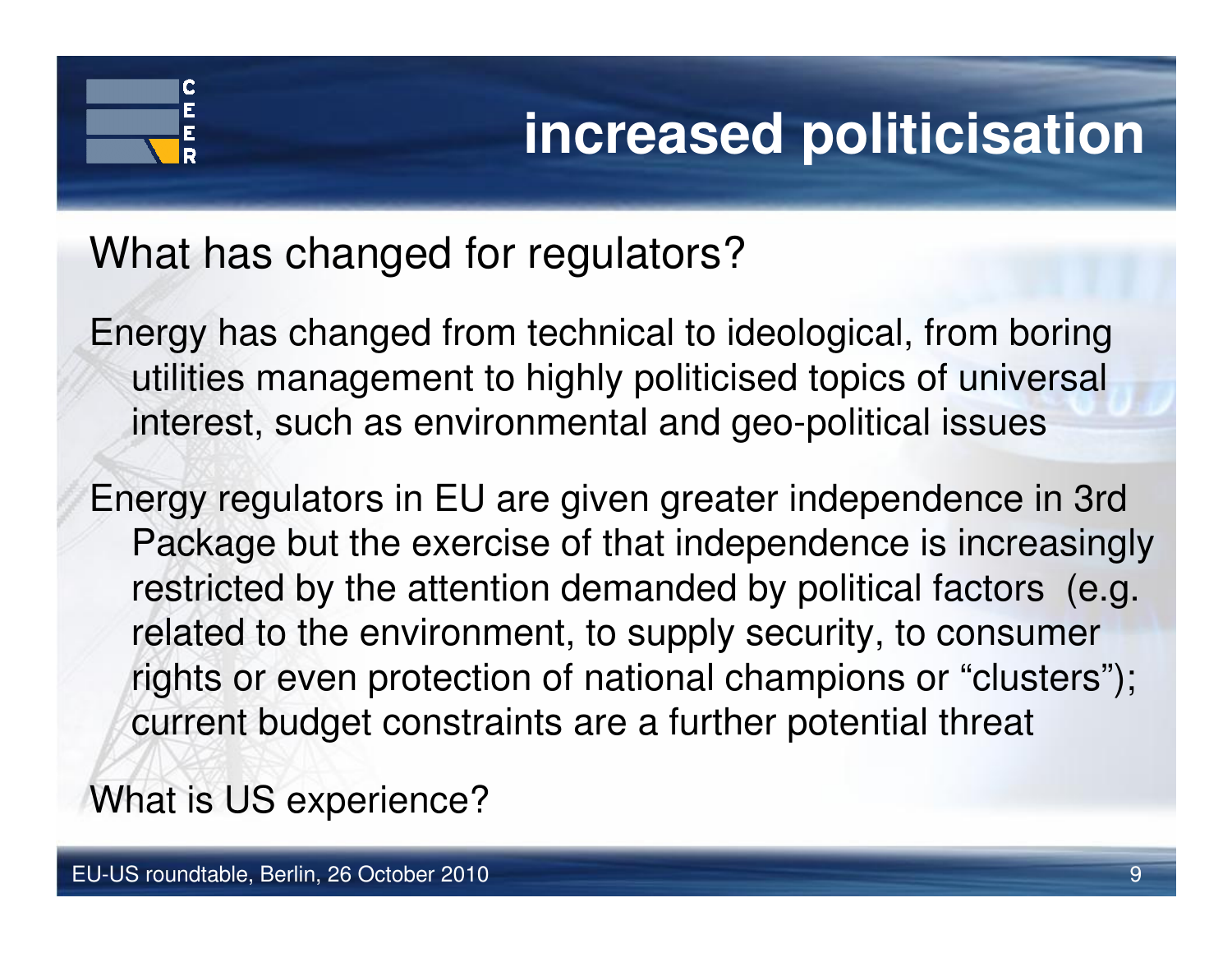# **increased politicisation**

What has changed for regulators?

Energy has changed from technical to ideological, from boring utilities management to highly politicised topics of universal interest, such as environmental and geo-political issues

Energy regulators in EU are given greater independence in 3rd Package but the exercise of that independence is increasingly restricted by the attention demanded by political factors (e.g.related to the environment, to supply security, to consumer rights or even protection of national champions or "clusters"); current budget constraints are a further potential threat